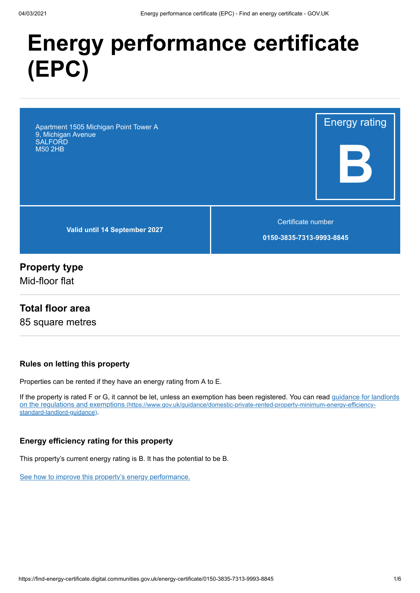# **Energy performance certificate (EPC)**

Apartment 1505 Michigan Point Tower A 9, Michigan Avenue SALFORD M50 2HB

**Valid until 14 September 2027**

Certificate number

Energy rating

**B**

**0150-3835-7313-9993-8845**

## **Property type**

Mid-floor flat

#### **Total floor area**

85 square metres

#### **Rules on letting this property**

Properties can be rented if they have an energy rating from A to E.

[If the property is rated F or G, it cannot be let, unless an exemption has been registered. You can read guidance for landlords](https://www.gov.uk/guidance/domestic-private-rented-property-minimum-energy-efficiency-standard-landlord-guidance) on the regulations and exemptions (https://www.gov.uk/guidance/domestic-private-rented-property-minimum-energy-efficiencystandard-landlord-guidance).

#### **Energy efficiency rating for this property**

This property's current energy rating is B. It has the potential to be B.

[See how to improve this property's energy performance.](#page-3-0)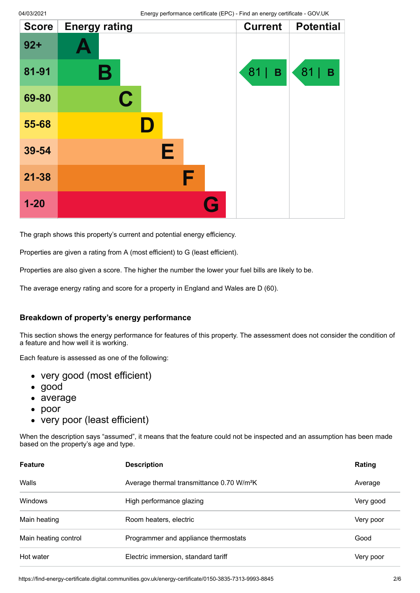| <b>Score</b> | <b>Energy rating</b> | <b>Current</b> | <b>Potential</b> |
|--------------|----------------------|----------------|------------------|
| $92 +$       |                      |                |                  |
| 81-91        | Β                    | 81<br>B        | 81<br>B          |
| 69-80        | $\mathbf C$          |                |                  |
| 55-68        | $\blacksquare$       |                |                  |
| 39-54        | Е                    |                |                  |
| $21 - 38$    | F                    |                |                  |
| $1 - 20$     | G                    |                |                  |

The graph shows this property's current and potential energy efficiency.

Properties are given a rating from A (most efficient) to G (least efficient).

Properties are also given a score. The higher the number the lower your fuel bills are likely to be.

The average energy rating and score for a property in England and Wales are D (60).

#### **Breakdown of property's energy performance**

This section shows the energy performance for features of this property. The assessment does not consider the condition of a feature and how well it is working.

Each feature is assessed as one of the following:

- very good (most efficient)
- good
- average
- $\bullet$ poor
- very poor (least efficient)

When the description says "assumed", it means that the feature could not be inspected and an assumption has been made based on the property's age and type.

| <b>Feature</b>       | <b>Description</b>                                    | Rating    |
|----------------------|-------------------------------------------------------|-----------|
| Walls                | Average thermal transmittance 0.70 W/m <sup>2</sup> K | Average   |
| <b>Windows</b>       | High performance glazing                              | Very good |
| Main heating         | Room heaters, electric                                | Very poor |
| Main heating control | Programmer and appliance thermostats                  | Good      |
| Hot water            | Electric immersion, standard tariff                   | Very poor |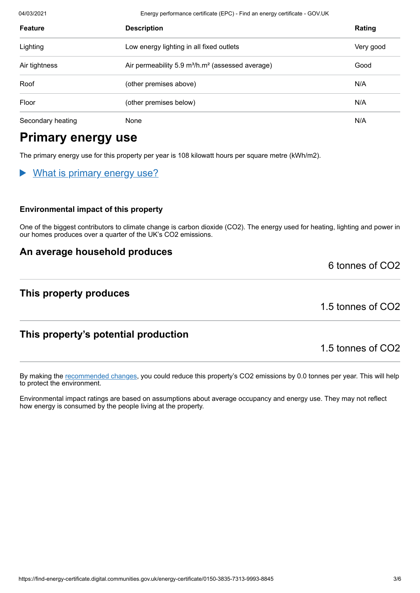04/03/2021 Energy performance certificate (EPC) - Find an energy certificate - GOV.UK

| <b>Feature</b>    | <b>Description</b>                                                       | Rating    |
|-------------------|--------------------------------------------------------------------------|-----------|
| Lighting          | Low energy lighting in all fixed outlets                                 | Very good |
| Air tightness     | Air permeability 5.9 m <sup>3</sup> /h.m <sup>2</sup> (assessed average) | Good      |
| Roof              | (other premises above)                                                   | N/A       |
| Floor             | (other premises below)                                                   | N/A       |
| Secondary heating | None                                                                     | N/A       |

## **Primary energy use**

The primary energy use for this property per year is 108 kilowatt hours per square metre (kWh/m2).

#### What is primary energy use?

#### **Environmental impact of this property**

One of the biggest contributors to climate change is carbon dioxide (CO2). The energy used for heating, lighting and power in our homes produces over a quarter of the UK's CO2 emissions.

#### **An average household produces**

#### **This property produces**

1.5 tonnes of CO2

6 tonnes of CO2

## **This property's potential production**

1.5 tonnes of CO2

By making the [recommended changes](#page-3-0), you could reduce this property's CO2 emissions by 0.0 tonnes per year. This will help to protect the environment.

Environmental impact ratings are based on assumptions about average occupancy and energy use. They may not reflect how energy is consumed by the people living at the property.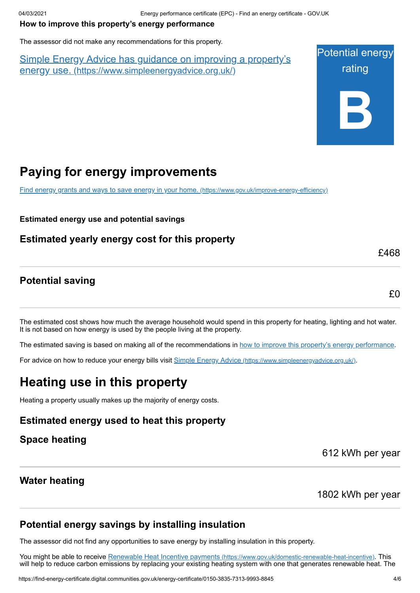#### <span id="page-3-0"></span>**How to improve this property's energy performance**

The assessor did not make any recommendations for this property.

Simple Energy Advice has guidance on improving a property's energy use. [\(https://www.simpleenergyadvice.org.uk/\)](https://www.simpleenergyadvice.org.uk/)



# **Paying for energy improvements**

[Find energy grants and ways to save energy in your home.](https://www.gov.uk/improve-energy-efficiency) (https://www.gov.uk/improve-energy-efficiency)

**Estimated energy use and potential savings**

**Estimated yearly energy cost for this property**

## **Potential saving**

£0

£468

The estimated cost shows how much the average household would spend in this property for heating, lighting and hot water. It is not based on how energy is used by the people living at the property.

The estimated saving is based on making all of the recommendations in [how to improve this property's energy performance.](#page-3-0)

For advice on how to reduce your energy bills visit Simple Energy Advice [\(https://www.simpleenergyadvice.org.uk/\)](https://www.simpleenergyadvice.org.uk/).

# **Heating use in this property**

Heating a property usually makes up the majority of energy costs.

## **Estimated energy used to heat this property**

#### **Space heating**

612 kWh per year

## **Water heating**

1802 kWh per year

## **Potential energy savings by installing insulation**

The assessor did not find any opportunities to save energy by installing insulation in this property.

You might be able to receive Renewable Heat Incentive payments [\(https://www.gov.uk/domestic-renewable-heat-incentive\)](https://www.gov.uk/domestic-renewable-heat-incentive). This will help to reduce carbon emissions by replacing your existing heating system with one that generates renewable heat. The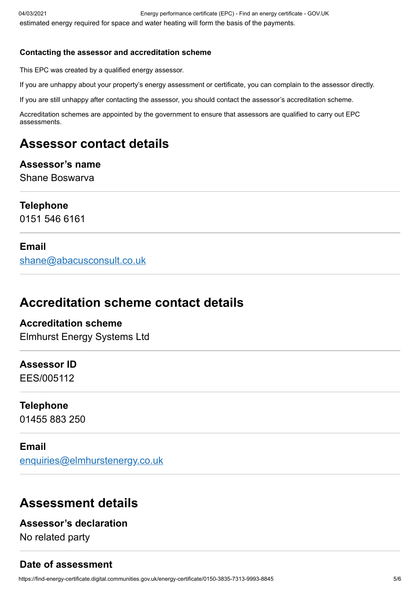#### **Contacting the assessor and accreditation scheme**

This EPC was created by a qualified energy assessor.

If you are unhappy about your property's energy assessment or certificate, you can complain to the assessor directly.

If you are still unhappy after contacting the assessor, you should contact the assessor's accreditation scheme.

Accreditation schemes are appointed by the government to ensure that assessors are qualified to carry out EPC assessments.

# **Assessor contact details**

## **Assessor's name** Shane Boswarva

## **Telephone**

0151 546 6161

## **Email**

[shane@abacusconsult.co.uk](mailto:shane@abacusconsult.co.uk)

# **Accreditation scheme contact details**

## **Accreditation scheme** Elmhurst Energy Systems Ltd

## **Assessor ID**

EES/005112

## **Telephone**

01455 883 250

#### **Email**

[enquiries@elmhurstenergy.co.uk](mailto:enquiries@elmhurstenergy.co.uk)

# **Assessment details**

## **Assessor's declaration**

No related party

## **Date of assessment**